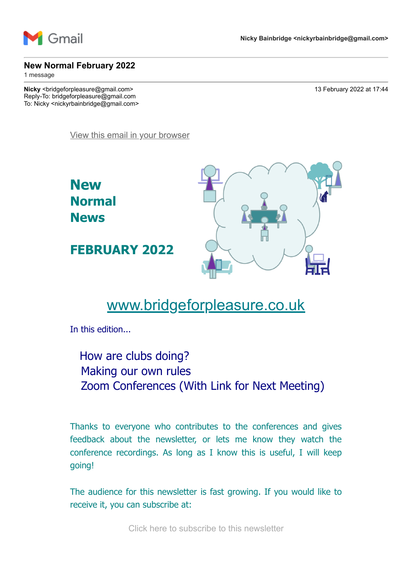

#### **New Normal February 2022**

1 message

**Nicky** <br/>  $\sim$  13 February 2022 at 17:44 Reply-To: bridgeforpleasure@gmail.com To: Nicky <nickyrbainbridge@gmail.com>

[View this email in your browser](https://mailchi.mp/25eacf3d5bfb/new-normal-february-2022?e=7736085cbd)



# [www.bridgeforpleasure.co.uk](https://rugbyvillagebridge.us16.list-manage.com/track/click?u=5ca90c1560213b9616359b892&id=464c6c9dc6&e=7736085cbd)

In this edition...

How are clubs doing? Making our own rules Zoom Conferences (With Link for Next Meeting)

Thanks to everyone who contributes to the conferences and gives feedback about the newsletter, or lets me know they watch the conference recordings. As long as I know this is useful, I will keep going!

The audience for this newsletter is fast growing. If you would like to receive it, you can subscribe at:

[Click here to subscribe to this newsletter](https://rugbyvillagebridge.us16.list-manage.com/track/click?u=5ca90c1560213b9616359b892&id=c91cec58d7&e=7736085cbd)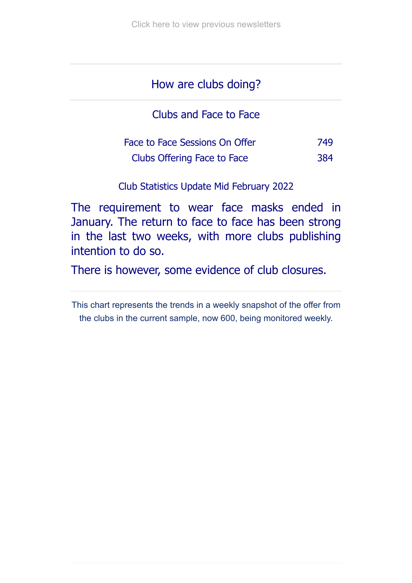## How are clubs doing?

Clubs and Face to Face

| Face to Face Sessions On Offer | 749 |
|--------------------------------|-----|
| Clubs Offering Face to Face    | 384 |

Club Statistics Update Mid February 2022

The requirement to wear face masks ended in January. The return to face to face has been strong in the last two weeks, with more clubs publishing intention to do so.

There is however, some evidence of club closures.

This chart represents the trends in a weekly snapshot of the offer from the clubs in the current sample, now 600, being monitored weekly.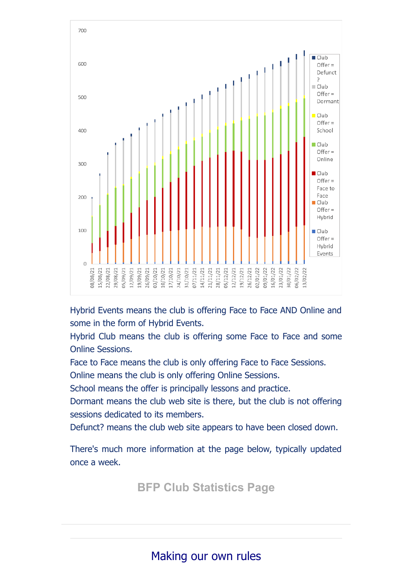

Hybrid Events means the club is offering Face to Face AND Online and some in the form of Hybrid Events.

Hybrid Club means the club is offering some Face to Face and some Online Sessions.

Face to Face means the club is only offering Face to Face Sessions.

Online means the club is only offering Online Sessions.

School means the offer is principally lessons and practice.

Dormant means the club web site is there, but the club is not offering sessions dedicated to its members.

Defunct? means the club web site appears to have been closed down.

There's much more information at the page below, typically updated once a week.

**[BFP Club Statistics Page](https://rugbyvillagebridge.us16.list-manage.com/track/click?u=5ca90c1560213b9616359b892&id=e7b46e1b4d&e=7736085cbd)**

## Making our own rules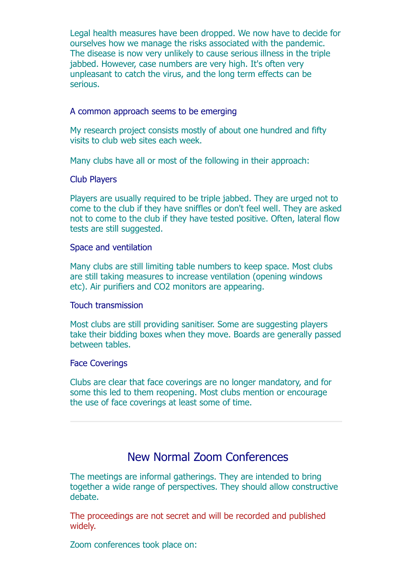Legal health measures have been dropped. We now have to decide for ourselves how we manage the risks associated with the pandemic. The disease is now very unlikely to cause serious illness in the triple jabbed. However, case numbers are very high. It's often very unpleasant to catch the virus, and the long term effects can be serious.

### A common approach seems to be emerging

My research project consists mostly of about one hundred and fifty visits to club web sites each week.

Many clubs have all or most of the following in their approach:

#### Club Players

Players are usually required to be triple jabbed. They are urged not to come to the club if they have sniffles or don't feel well. They are asked not to come to the club if they have tested positive. Often, lateral flow tests are still suggested.

#### Space and ventilation

Many clubs are still limiting table numbers to keep space. Most clubs are still taking measures to increase ventilation (opening windows etc). Air purifiers and CO2 monitors are appearing.

### Touch transmission

Most clubs are still providing sanitiser. Some are suggesting players take their bidding boxes when they move. Boards are generally passed between tables.

#### Face Coverings

Clubs are clear that face coverings are no longer mandatory, and for some this led to them reopening. Most clubs mention or encourage the use of face coverings at least some of time.

### New Normal Zoom Conferences

The meetings are informal gatherings. They are intended to bring together a wide range of perspectives. They should allow constructive debate.

The proceedings are not secret and will be recorded and published widely.

Zoom conferences took place on: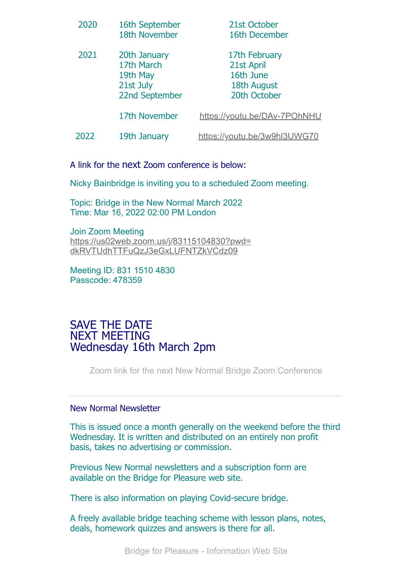| 2020 | 16th September<br>18th November                                       | 21st October<br>16th December                                           |
|------|-----------------------------------------------------------------------|-------------------------------------------------------------------------|
| 2021 | 20th January<br>17th March<br>19th May<br>21st July<br>22nd September | 17th February<br>21st April<br>16th June<br>18th August<br>20th October |
|      | 17th November                                                         | https://youtu.be/DAv-7POhNHU                                            |
| 2022 | 19th January                                                          | https://youtu.be/3w9hl3UWG70                                            |

A link for the next Zoom conference is below:

Nicky Bainbridge is inviting you to a scheduled Zoom meeting.

Topic: Bridge in the New Normal March 2022 Time: Mar 16, 2022 02:00 PM London

Join Zoom Meeting [https://us02web.zoom.us/j/83115104830?pwd=](https://rugbyvillagebridge.us16.list-manage.com/track/click?u=5ca90c1560213b9616359b892&id=9dc331d065&e=7736085cbd) dkRVTUdhTTFuQzJ3eGxLUFNTZkVCdz09

Meeting ID: 831 1510 4830 Passcode: 478359

### SAVE THE DATE NEXT MEETING Wednesday 16th March 2pm

[Zoom link for the next New Normal Bridge Zoom Conference](https://rugbyvillagebridge.us16.list-manage.com/track/click?u=5ca90c1560213b9616359b892&id=ca44045bf4&e=7736085cbd)

#### New Normal Newsletter

This is issued once a month generally on the weekend before the third Wednesday. It is written and distributed on an entirely non profit basis, takes no advertising or commission.

Previous New Normal newsletters and a subscription form are available on the Bridge for Pleasure web site.

There is also information on playing Covid-secure bridge.

A freely available bridge teaching scheme with lesson plans, notes, deals, homework quizzes and answers is there for all.